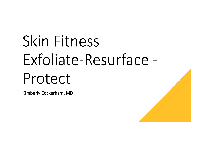## Skin Fitness Exfoliate-Resurface -Protect

Kimberly Cockerham, MD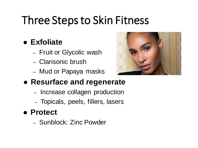## Three Stepsto Skin Fitness

#### ⚫ **Exfoliate**

- Fruit or Glycolic wash
- Clarisonic brush
- Mud or Papaya masks



#### ⚫ **Resurface and regenerate**

- Increase collagen production
- Topicals, peels, fillers, lasers

#### ⚫ **Protect**

– Sunblock: Zinc Powder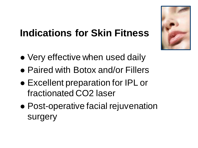#### **Indications for Skin Fitness**

- Very effective when used daily
- ⚫ Paired with Botox and/or Fillers
- ⚫ Excellent preparation for IPL or fractionated CO2 laser
- ⚫ Post-operative facial rejuvenation surgery

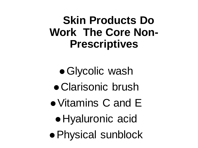#### **Skin Products Do Work The Core Non-Prescriptives**

⚫Glycolic wash ⚫ Clarisonic brush ⚫ Vitamins C and E ⚫ Hyaluronic acid ⚫ Physical sunblock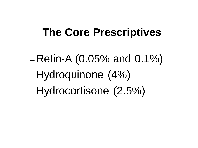#### **The Core Prescriptives**

 $-$  Retin-A (0.05% and 0.1%) – Hydroquinone (4%) – Hydrocortisone (2.5%)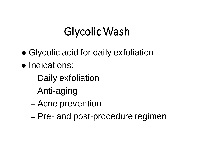### GlycolicWash

- ⚫ Glycolic acid for daily exfoliation
- ⚫ Indications:
	- Daily exfoliation
	- Anti-aging
	- Acne prevention
	- Pre- and post-procedure regimen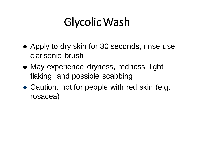### GlycolicWash

- Apply to dry skin for 30 seconds, rinse use clarisonic brush
- ⚫ May experience dryness, redness, light flaking, and possible scabbing
- Caution: not for people with red skin (e.g. rosacea)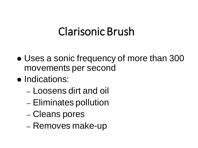#### Clarisonic Brush

- Uses a sonic frequency of more than 300 movements per second
- ⚫ Indications:
	- Loosens dirt and oil
	- Eliminates pollution
	- Cleans pores
	- Removes make-up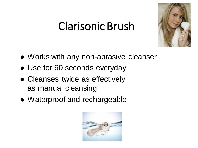#### Clarisonic Brush



- ⚫ Works with any non-abrasive cleanser
- ⚫ Use for 60 seconds everyday
- ⚫ Cleanses twice as effectively as manual cleansing
- ⚫ Waterproof and rechargeable

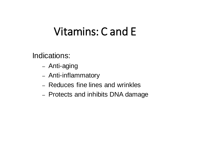#### Vitamins: C and E

Indications:

- Anti-aging
- Anti-inflammatory
- Reduces fine lines and wrinkles
- Protects and inhibits DNA damage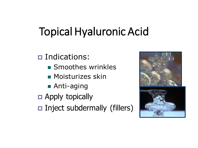## **Topical Hyaluronic Acid**

□ Indications:

- Smoothes wrinkles
- Moisturizes skin
- Anti-aging
- **D** Apply topically
- $\Box$  Inject subdermally (fillers)

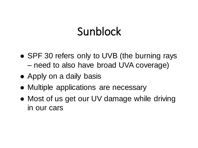### Sunblock

- SPF 30 refers only to UVB (the burning rays – need to also have broad UVA coverage)
- Apply on a daily basis
- ⚫ Multiple applications are necessary
- Most of us get our UV damage while driving in our cars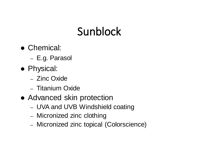## Sunblock

- ⚫ Chemical:
	- E.g. Parasol
- ⚫ Physical:
	- Zinc Oxide
	- Titanium Oxide
- Advanced skin protection
	- UVA and UVB Windshield coating
	- Micronized zinc clothing
	- Micronized zinc topical (Colorscience)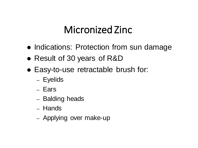#### Micronized Zinc

- ⚫ Indications: Protection from sun damage
- ⚫ Result of 30 years of R&D
- ⚫ Easy-to-use retractable brush for:
	- Eyelids
	- Ears
	- Balding heads
	- Hands
	- Applying over make-up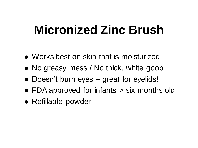## **Micronized Zinc Brush**

- ⚫ Works best on skin that is moisturized
- ⚫ No greasy mess / No thick, white goop
- Doesn't burn eyes great for eyelids!
- ⚫ FDA approved for infants > six months old
- Refillable powder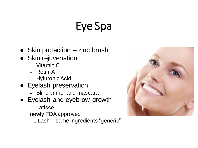## Eye Spa

- Skin protection zinc brush
- Skin rejuvenation
	- Vitamin C
	- Retin-A
	- HyluronicAcid
- ⚫ Eyelash preservation
	- Blinc primer and mascara
- ⚫ Eyelash and eyebrow growth
	- Latisse –

newly FDAapproved

- LiLash – same ingredients "generic"

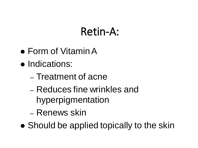#### Retin-A:

- Form of Vitamin A
- ⚫ Indications:
	- Treatment of acne
	- Reduces fine wrinkles and hyperpigmentation
	- Renews skin
- Should be applied topically to the skin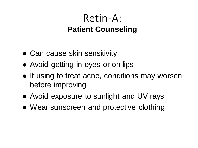#### Retin-A: **Patient Counseling**

- Can cause skin sensitivity
- Avoid getting in eyes or on lips
- If using to treat acne, conditions may worsen before improving
- ⚫ Avoid exposure to sunlight and UV rays
- ⚫ Wear sunscreen and protective clothing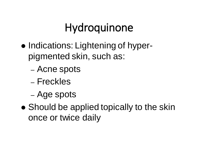### Hydroquinone

- Indications: Lightening of hyperpigmented skin, such as:
	- Acne spots
	- Freckles
	- Age spots
- Should be applied topically to the skin once or twice daily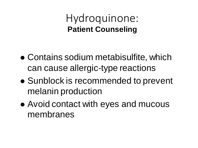Hydroquinone: **Patient Counseling**

- ⚫ Contains sodium metabisulfite, which can cause allergic-type reactions
- ⚫ Sunblock is recommended to prevent melanin production
- ⚫ Avoid contact with eyes and mucous membranes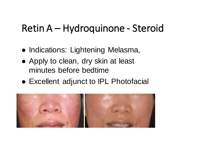#### Retin A – Hydroquinone - Steroid

- ⚫ Indications: Lightening Melasma,
- ⚫ Apply to clean, dry skin at least minutes before bedtime
- ⚫ Excellent adjunct to IPL Photofacial

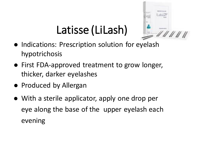## Latisse (LiLash)



- ⚫ Indications: Prescription solution for eyelash hypotrichosis
- First FDA-approved treatment to grow longer, thicker, darker eyelashes
- Produced by Allergan
- With a sterile applicator, apply one drop per eye along the base of the upper eyelash each evening